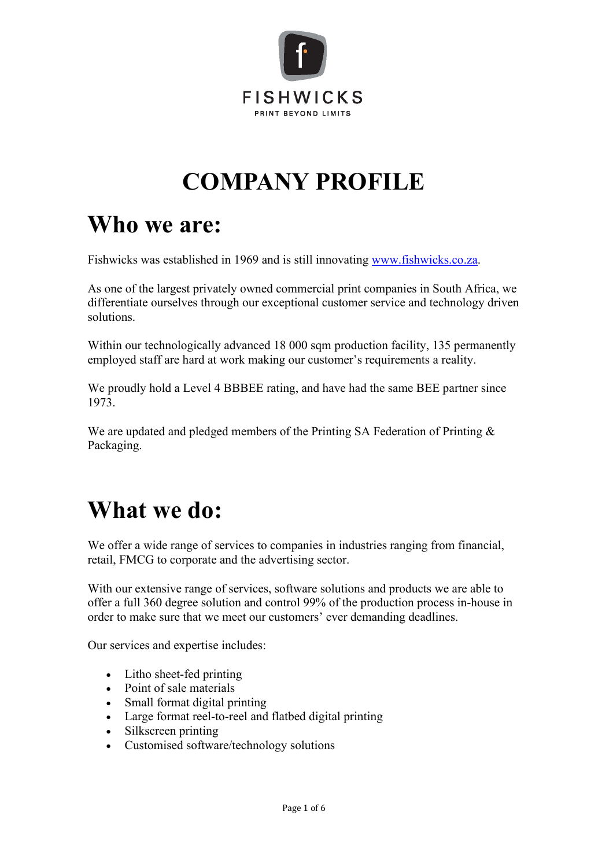

## **COMPANY PROFILE**

#### **Who we are:**

Fishwicks was established in 1969 and is still innovating [www.fishwicks.co.za.](http://www.fishwicks.co.za/)

As one of the largest privately owned commercial print companies in South Africa, we differentiate ourselves through our exceptional customer service and technology driven solutions.

Within our technologically advanced 18 000 sqm production facility, 135 permanently employed staff are hard at work making our customer's requirements a reality.

We proudly hold a Level 4 BBBEE rating, and have had the same BEE partner since 1973.

We are updated and pledged members of the Printing SA Federation of Printing & Packaging.

#### **What we do:**

We offer a wide range of services to companies in industries ranging from financial, retail, FMCG to corporate and the advertising sector.

With our extensive range of services, software solutions and products we are able to offer a full 360 degree solution and control 99% of the production process in-house in order to make sure that we meet our customers' ever demanding deadlines.

Our services and expertise includes:

- Litho sheet-fed printing
- Point of sale materials
- Small format digital printing
- Large format reel-to-reel and flatbed digital printing
- Silkscreen printing
- Customised software/technology solutions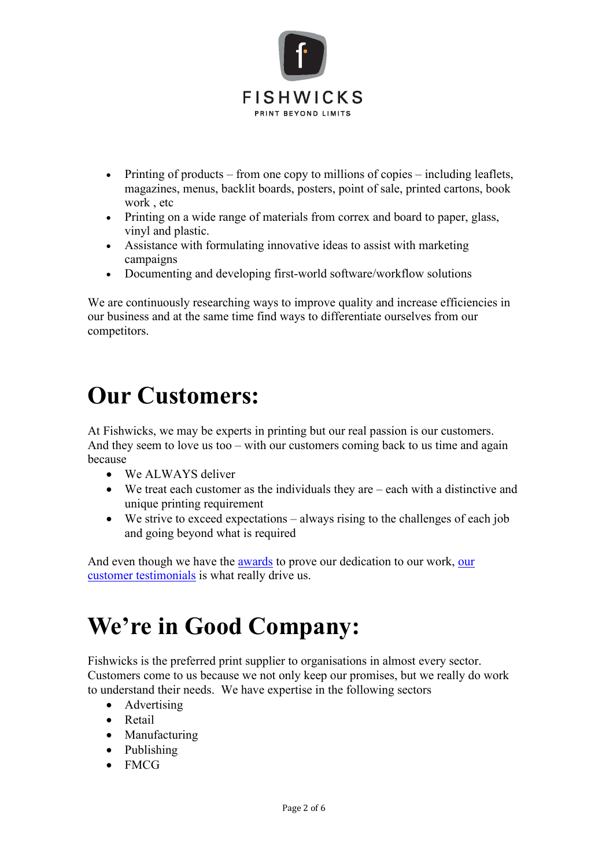

- Printing of products from one copy to millions of copies including leaflets, magazines, menus, backlit boards, posters, point of sale, printed cartons, book work , etc
- Printing on a wide range of materials from correx and board to paper, glass, vinyl and plastic.
- Assistance with formulating innovative ideas to assist with marketing campaigns
- Documenting and developing first-world software/workflow solutions

We are continuously researching ways to improve quality and increase efficiencies in our business and at the same time find ways to differentiate ourselves from our competitors.

#### **Our Customers:**

At Fishwicks, we may be experts in printing but our real passion is our customers. And they seem to love us too – with our customers coming back to us time and again because

- We ALWAYS deliver
- We treat each customer as the individuals they are each with a distinctive and unique printing requirement
- We strive to exceed expectations always rising to the challenges of each job and going beyond what is required

And even though we have the [awards](http://www.fishwicks.co.za/Fishwicks-Awards) to prove [our](http://www.fishwicks.co.za/Fishwicks-Testimonials) dedication to our work, our [customer testimonials](http://www.fishwicks.co.za/Fishwicks-Testimonials) is what really drive us.

#### **We're in Good Company:**

Fishwicks is the preferred print supplier to organisations in almost every sector. Customers come to us because we not only keep our promises, but we really do work to understand their needs. We have expertise in the following sectors

- Advertising
- Retail
- Manufacturing
- Publishing
- FMCG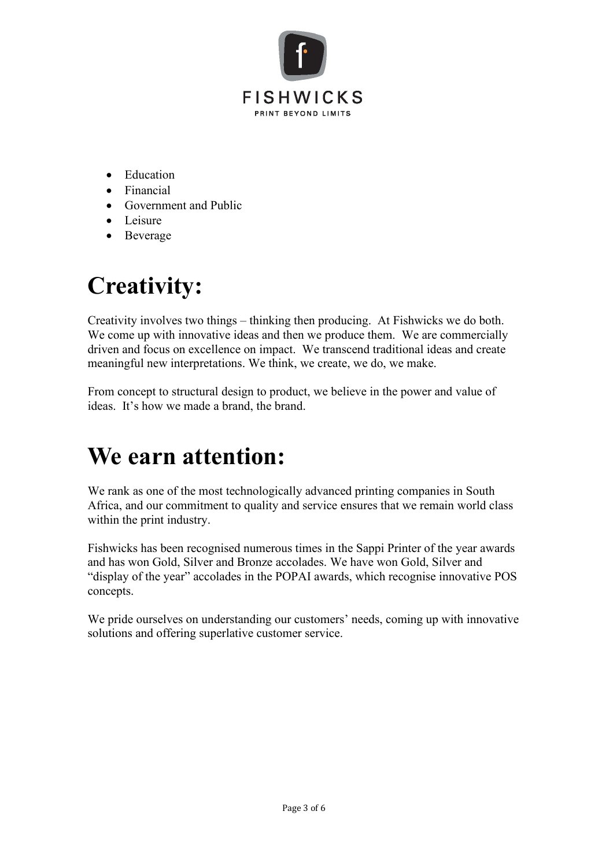

- Education
- Financial
- Government and Public
- Leisure
- Beverage

# **Creativity:**

Creativity involves two things – thinking then producing. At Fishwicks we do both. We come up with innovative ideas and then we produce them. We are commercially driven and focus on excellence on impact. We transcend traditional ideas and create meaningful new interpretations. We think, we create, we do, we make.

From concept to structural design to product, we believe in the power and value of ideas. It's how we made a brand, the brand.

#### **We earn attention:**

We rank as one of the most technologically advanced printing companies in South Africa, and our commitment to quality and service ensures that we remain world class within the print industry.

Fishwicks has been recognised numerous times in the Sappi Printer of the year awards and has won Gold, Silver and Bronze accolades. We have won Gold, Silver and "display of the year" accolades in the POPAI awards, which recognise innovative POS concepts.

We pride ourselves on understanding our customers' needs, coming up with innovative solutions and offering superlative customer service.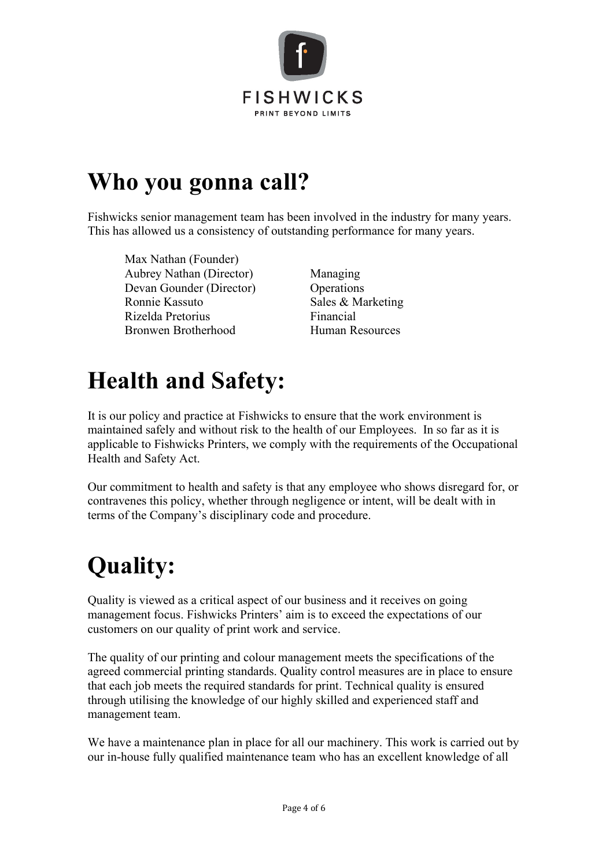

### **Who you gonna call?**

Fishwicks senior management team has been involved in the industry for many years. This has allowed us a consistency of outstanding performance for many years.

Max Nathan (Founder) Aubrey Nathan (Director) Managing Devan Gounder (Director) Operations Ronnie Kassuto Sales & Marketing Rizelda Pretorius Financial Bronwen Brotherhood Human Resources

### **Health and Safety:**

It is our policy and practice at Fishwicks to ensure that the work environment is maintained safely and without risk to the health of our Employees. In so far as it is applicable to Fishwicks Printers, we comply with the requirements of the Occupational Health and Safety Act.

Our commitment to health and safety is that any employee who shows disregard for, or contravenes this policy, whether through negligence or intent, will be dealt with in terms of the Company's disciplinary code and procedure.

# **Quality:**

Quality is viewed as a critical aspect of our business and it receives on going management focus. Fishwicks Printers' aim is to exceed the expectations of our customers on our quality of print work and service.

The quality of our printing and colour management meets the specifications of the agreed commercial printing standards. Quality control measures are in place to ensure that each job meets the required standards for print. Technical quality is ensured through utilising the knowledge of our highly skilled and experienced staff and management team.

We have a maintenance plan in place for all our machinery. This work is carried out by our in-house fully qualified maintenance team who has an excellent knowledge of all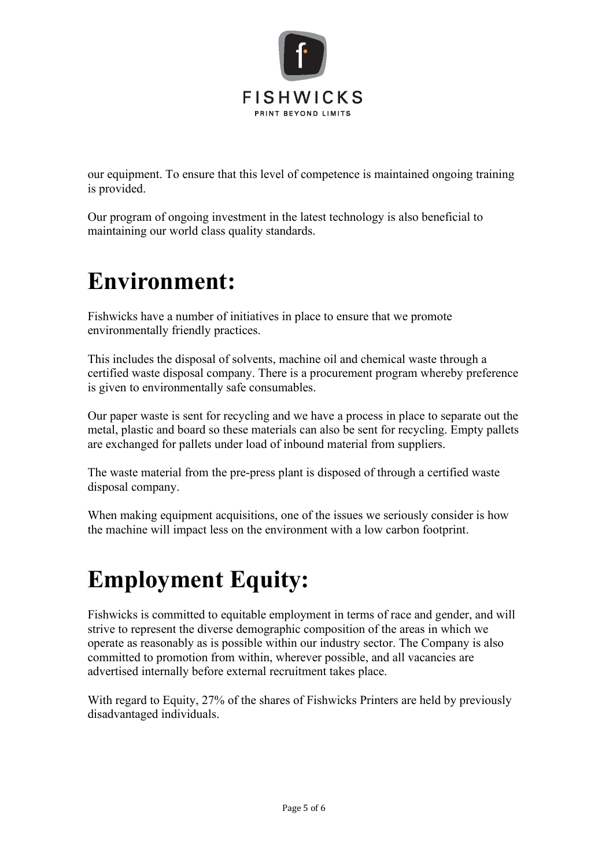

our equipment. To ensure that this level of competence is maintained ongoing training is provided.

Our program of ongoing investment in the latest technology is also beneficial to maintaining our world class quality standards.

#### **Environment:**

Fishwicks have a number of initiatives in place to ensure that we promote environmentally friendly practices.

This includes the disposal of solvents, machine oil and chemical waste through a certified waste disposal company. There is a procurement program whereby preference is given to environmentally safe consumables.

Our paper waste is sent for recycling and we have a process in place to separate out the metal, plastic and board so these materials can also be sent for recycling. Empty pallets are exchanged for pallets under load of inbound material from suppliers.

The waste material from the pre-press plant is disposed of through a certified waste disposal company.

When making equipment acquisitions, one of the issues we seriously consider is how the machine will impact less on the environment with a low carbon footprint.

# **Employment Equity:**

Fishwicks is committed to equitable employment in terms of race and gender, and will strive to represent the diverse demographic composition of the areas in which we operate as reasonably as is possible within our industry sector. The Company is also committed to promotion from within, wherever possible, and all vacancies are advertised internally before external recruitment takes place.

With regard to Equity, 27% of the shares of Fishwicks Printers are held by previously disadvantaged individuals.